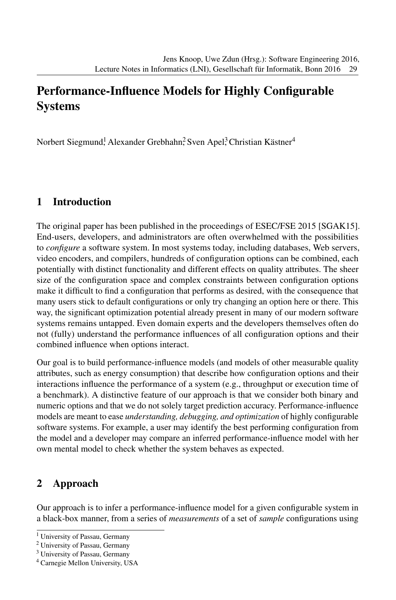## Performance-Influence Models for Highly Configurable **Systems**

Norbert Siegmund<sup>1</sup>, Alexander Grebhahn<sup>2</sup>, Sven Apel<sup>3</sup>, Christian Kästner<sup>4</sup>

## 1 Introduction

The original paper has been published in the proceedings of ESEC/FSE 2015 [SGAK15]. End-users, developers, and administrators are often overwhelmed with the possibilities to *configure* a software system. In most systems today, including databases, Web servers, video encoders, and compilers, hundreds of configuration options can be combined, each potentially with distinct functionality and different effects on quality attributes. The sheer size of the configuration space and complex constraints between configuration options make it difficult to find a configuration that performs as desired, with the consequence that many users stick to default configurations or only try changing an option here or there. This way, the significant optimization potential already present in many of our modern software systems remains untapped. Even domain experts and the developers themselves often do not (fully) understand the performance influences of all configuration options and their combined influence when options interact.

Our goal is to build performance-influence models (and models of other measurable quality attributes, such as energy consumption) that describe how configuration options and their interactions influence the performance of a system (e.g., throughput or execution time of a benchmark). A distinctive feature of our approach is that we consider both binary and numeric options and that we do not solely target prediction accuracy. Performance-influence models are meant to ease *understanding, debugging, and optimization* of highly configurable software systems. For example, a user may identify the best performing configuration from the model and a developer may compare an inferred performance-influence model with her own mental model to check whether the system behaves as expected.

## 2 Approach

Our approach is to infer a performance-influence model for a given configurable system in a black-box manner, from a series of *measurements* of a set of *sample* configurations using

<sup>&</sup>lt;sup>1</sup> University of Passau, Germany

<sup>2</sup> University of Passau, Germany

<sup>&</sup>lt;sup>3</sup> University of Passau, Germany

<sup>4</sup> Carnegie Mellon University, USA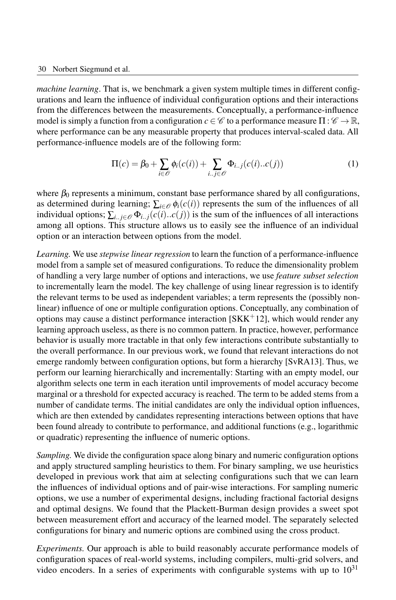*machine learning*. That is, we benchmark a given system multiple times in different configurations and learn the influence of individual configuration options and their interactions from the differences between the measurements. Conceptually, a performance-influence model is simply a function from a configuration  $c \in \mathscr{C}$  to a performance measure  $\Pi : \mathscr{C} \to \mathbb{R}$ , where performance can be any measurable property that produces interval-scaled data. All performance-influence models are of the following form:

$$
\Pi(c) = \beta_0 + \sum_{i \in \mathcal{O}} \phi_i(c(i)) + \sum_{i \ldots j \in \mathcal{O}} \Phi_{i \ldots j}(c(i) \ldots c(j))
$$
\n(1)

where  $\beta_0$  represents a minimum, constant base performance shared by all configurations, as determined during learning;  $\sum_{i \in \mathcal{O}} \phi_i(c(i))$  represents the sum of the influences of all individual options;  $\sum_{i,j \in \mathcal{O}} \Phi_{i,j}(c(i)...c(j))$  is the sum of the influences of all interactions among all options. This structure allows us to easily see the influence of an individual option or an interaction between options from the model.

*Learning.* We use *stepwise linear regression* to learn the function of a performance-influence model from a sample set of measured configurations. To reduce the dimensionality problem of handling a very large number of options and interactions, we use *feature subset selection* to incrementally learn the model. The key challenge of using linear regression is to identify the relevant terms to be used as independent variables; a term represents the (possibly nonlinear) influence of one or multiple configuration options. Conceptually, any combination of options may cause a distinct performance interaction  $[SKK^+12]$ , which would render any learning approach useless, as there is no common pattern. In practice, however, performance behavior is usually more tractable in that only few interactions contribute substantially to the overall performance. In our previous work, we found that relevant interactions do not emerge randomly between configuration options, but form a hierarchy [SvRA13]. Thus, we perform our learning hierarchically and incrementally: Starting with an empty model, our algorithm selects one term in each iteration until improvements of model accuracy become marginal or a threshold for expected accuracy is reached. The term to be added stems from a number of candidate terms. The initial candidates are only the individual option influences, which are then extended by candidates representing interactions between options that have been found already to contribute to performance, and additional functions (e.g., logarithmic or quadratic) representing the influence of numeric options.

*Sampling.* We divide the configuration space along binary and numeric configuration options and apply structured sampling heuristics to them. For binary sampling, we use heuristics developed in previous work that aim at selecting configurations such that we can learn the influences of individual options and of pair-wise interactions. For sampling numeric options, we use a number of experimental designs, including fractional factorial designs and optimal designs. We found that the Plackett-Burman design provides a sweet spot between measurement effort and accuracy of the learned model. The separately selected configurations for binary and numeric options are combined using the cross product.

*Experiments.* Our approach is able to build reasonably accurate performance models of configuration spaces of real-world systems, including compilers, multi-grid solvers, and video encoders. In a series of experiments with configurable systems with up to  $10^{31}$